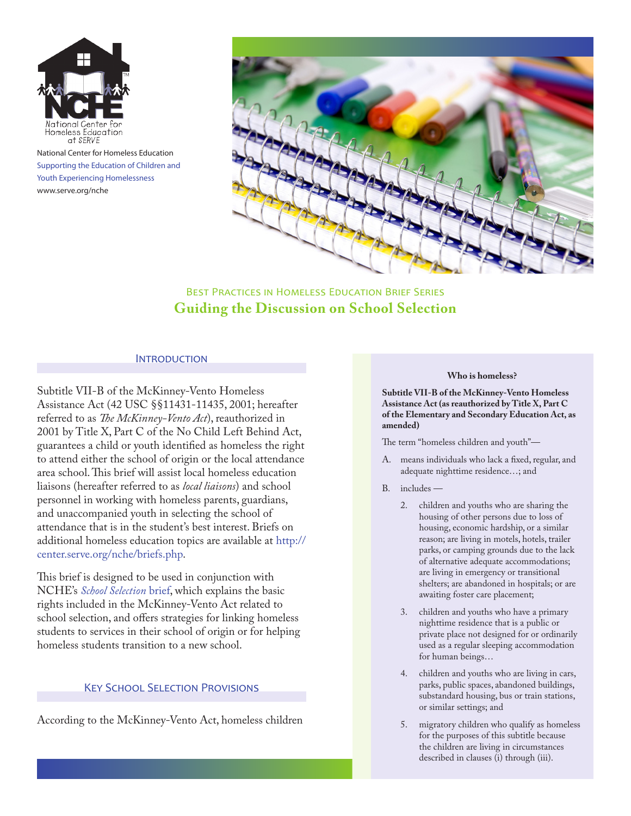

National Center for Homeless Education Supporting the Education of Children and Youth Experiencing Homelessness www.serve.org/nche



# Best Practices in Homeless Education Brief Series **Guiding the Discussion on School Selection**

### **INTRODUCTION**

Subtitle VII-B of the McKinney-Vento Homeless Assistance Act (42 USC §§11431-11435, 2001; hereafter referred to as *The McKinney-Vento Act*), reauthorized in 2001 by Title X, Part C of the No Child Left Behind Act, guarantees a child or youth identified as homeless the right to attend either the school of origin or the local attendance area school. This brief will assist local homeless education liaisons (hereafter referred to as *local liaisons*) and school personnel in working with homeless parents, guardians, and unaccompanied youth in selecting the school of attendance that is in the student's best interest. Briefs on additional homeless education topics are available at [http://](http://center.serve.org/nche/briefs.php) [center.serve.org/nche/briefs.php](http://center.serve.org/nche/briefs.php).

This brief is designed to be used in conjunction with NCHE's *[School Selection](http://center.serve.org/nche/downloads/briefs/school_selection.pdf)* brief, which explains the basic rights included in the McKinney-Vento Act related to school selection, and offers strategies for linking homeless students to services in their school of origin or for helping homeless students transition to a new school.

#### Key School Selection Provisions

According to the McKinney-Vento Act, homeless children

#### **Who is homeless?**

**Subtitle VII-B of the McKinney-Vento Homeless Assistance Act (as reauthorized by Title X, Part C of the Elementary and Secondary Education Act, as amended)**

The term "homeless children and youth"—

- A. means individuals who lack a fixed, regular, and adequate nighttime residence…; and
- B. includes
	- 2. children and youths who are sharing the housing of other persons due to loss of housing, economic hardship, or a similar reason; are living in motels, hotels, trailer parks, or camping grounds due to the lack of alternative adequate accommodations; are living in emergency or transitional shelters; are abandoned in hospitals; or are awaiting foster care placement;
	- 3. children and youths who have a primary nighttime residence that is a public or private place not designed for or ordinarily used as a regular sleeping accommodation for human beings…
	- 4. children and youths who are living in cars, parks, public spaces, abandoned buildings, substandard housing, bus or train stations, or similar settings; and
	- 5. migratory children who qualify as homeless for the purposes of this subtitle because the children are living in circumstances described in clauses (i) through (iii).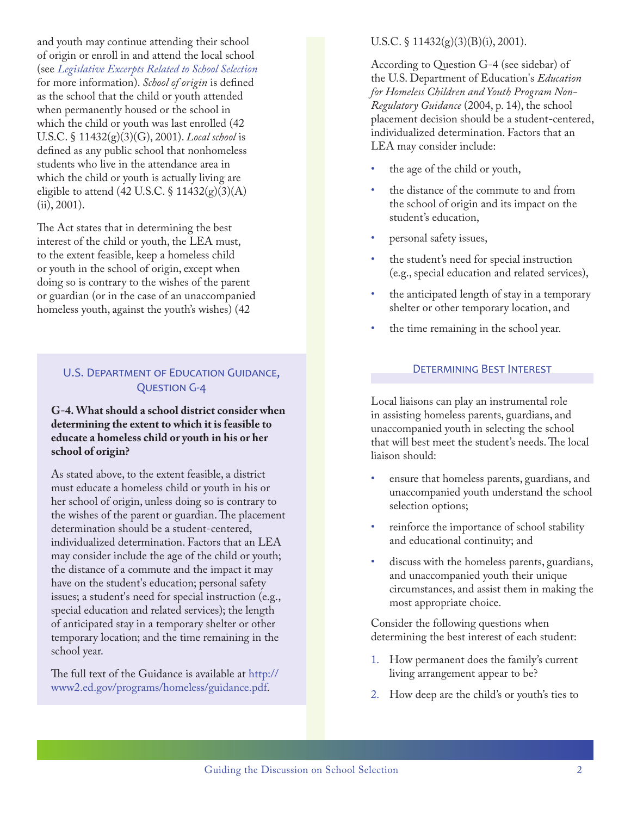and youth may continue attending their school of origin or enroll in and attend the local school (see *[Legislative Excerpts Related to School Selection](#page-2-0)* for more information). *School of origin* is defined as the school that the child or youth attended when permanently housed or the school in which the child or youth was last enrolled (42 U.S.C. § 11432(g)(3)(G), 2001). *Local school* is defined as any public school that nonhomeless students who live in the attendance area in which the child or youth is actually living are eligible to attend  $(42 \text{ U.S.C. } \S 11432(g)(3)(\text{A}))$ (ii), 2001).

The Act states that in determining the best interest of the child or youth, the LEA must, to the extent feasible, keep a homeless child or youth in the school of origin, except when doing so is contrary to the wishes of the parent or guardian (or in the case of an unaccompanied homeless youth, against the youth's wishes) (42

# U.S. Department of Education Guidance, Question G-4

### **G-4. What should a school district consider when determining the extent to which it is feasible to educate a homeless child or youth in his or her school of origin?**

As stated above, to the extent feasible, a district must educate a homeless child or youth in his or her school of origin, unless doing so is contrary to the wishes of the parent or guardian. The placement determination should be a student-centered, individualized determination. Factors that an LEA may consider include the age of the child or youth; the distance of a commute and the impact it may have on the student's education; personal safety issues; a student's need for special instruction (e.g., special education and related services); the length of anticipated stay in a temporary shelter or other temporary location; and the time remaining in the school year.

The full text of the Guidance is available at [http://](http://www2.ed.gov/programs/homeless/guidance.pdf) [www2.ed.gov/programs/homeless/guidance.pdf](http://www2.ed.gov/programs/homeless/guidance.pdf).

### U.S.C.  $\S$  11432(g)(3)(B)(i), 2001).

According to Question G-4 (see sidebar) of the U.S. Department of Education's *Education for Homeless Children and Youth Program Non-Regulatory Guidance* (2004, p. 14), the school placement decision should be a student-centered, individualized determination. Factors that an LEA may consider include:

- the age of the child or youth,
- the distance of the commute to and from the school of origin and its impact on the student's education,
- personal safety issues,
- the student's need for special instruction (e.g., special education and related services),
- the anticipated length of stay in a temporary shelter or other temporary location, and
- the time remaining in the school year.

### Determining Best Interest

Local liaisons can play an instrumental role in assisting homeless parents, guardians, and unaccompanied youth in selecting the school that will best meet the student's needs. The local liaison should:

- ensure that homeless parents, guardians, and unaccompanied youth understand the school selection options;
- reinforce the importance of school stability and educational continuity; and
- discuss with the homeless parents, guardians, and unaccompanied youth their unique circumstances, and assist them in making the most appropriate choice.

Consider the following questions when determining the best interest of each student:

- 1. How permanent does the family's current living arrangement appear to be?
- 2. How deep are the child's or youth's ties to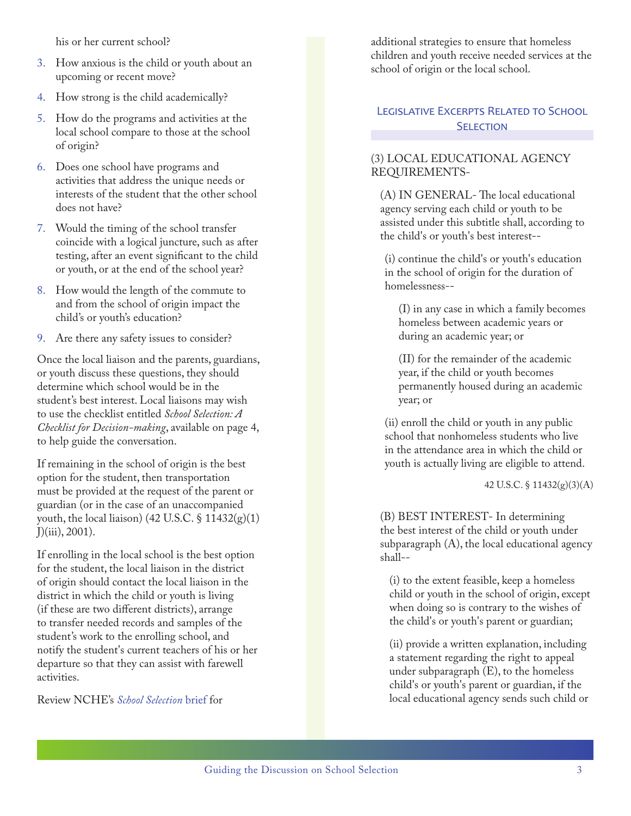his or her current school?

- 3. How anxious is the child or youth about an upcoming or recent move?
- 4. How strong is the child academically?
- 5. How do the programs and activities at the local school compare to those at the school of origin?
- 6. Does one school have programs and activities that address the unique needs or interests of the student that the other school does not have?
- 7. Would the timing of the school transfer coincide with a logical juncture, such as after testing, after an event significant to the child or youth, or at the end of the school year?
- 8. How would the length of the commute to and from the school of origin impact the child's or youth's education?
- 9. Are there any safety issues to consider?

Once the local liaison and the parents, guardians, or youth discuss these questions, they should determine which school would be in the student's best interest. Local liaisons may wish to use the checklist entitled *School Selection: A Checklist for Decision-making*, available on page 4, to help guide the conversation.

If remaining in the school of origin is the best option for the student, then transportation must be provided at the request of the parent or guardian (or in the case of an unaccompanied youth, the local liaison) (42 U.S.C.  $\S$  11432(g)(1) J)(iii), 2001).

If enrolling in the local school is the best option for the student, the local liaison in the district of origin should contact the local liaison in the district in which the child or youth is living (if these are two different districts), arrange to transfer needed records and samples of the student's work to the enrolling school, and notify the student's current teachers of his or her departure so that they can assist with farewell activities.

Review NCHE's *[School Selection](http://center.serve.org/nche/downloads/briefs/school_selection.pdf)* brief for

additional strategies to ensure that homeless children and youth receive needed services at the school of origin or the local school.

## <span id="page-2-0"></span>Legislative Excerpts Related to School **SELECTION**

## (3) LOCAL EDUCATIONAL AGENCY REQUIREMENTS-

(A) IN GENERAL- The local educational agency serving each child or youth to be assisted under this subtitle shall, according to the child's or youth's best interest--

(i) continue the child's or youth's education in the school of origin for the duration of homelessness--

(I) in any case in which a family becomes homeless between academic years or during an academic year; or

(II) for the remainder of the academic year, if the child or youth becomes permanently housed during an academic year; or

(ii) enroll the child or youth in any public school that nonhomeless students who live in the attendance area in which the child or youth is actually living are eligible to attend.

42 U.S.C. § 11432(g)(3)(A)

(B) BEST INTEREST- In determining the best interest of the child or youth under subparagraph (A), the local educational agency shall--

(i) to the extent feasible, keep a homeless child or youth in the school of origin, except when doing so is contrary to the wishes of the child's or youth's parent or guardian;

(ii) provide a written explanation, including a statement regarding the right to appeal under subparagraph (E), to the homeless child's or youth's parent or guardian, if the local educational agency sends such child or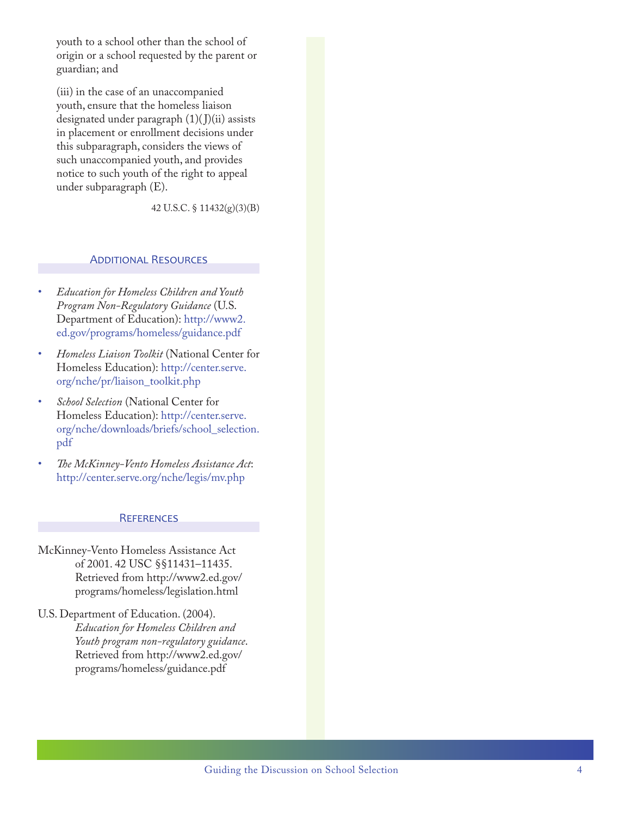youth to a school other than the school of origin or a school requested by the parent or guardian; and

(iii) in the case of an unaccompanied youth, ensure that the homeless liaison designated under paragraph  $(1)(J)(ii)$  assists in placement or enrollment decisions under this subparagraph, considers the views of such unaccompanied youth, and provides notice to such youth of the right to appeal under subparagraph (E).

42 U.S.C. § 11432(g)(3)(B)

#### **ADDITIONAL RESOURCES**

- • *Education for Homeless Children and Youth Program Non-Regulatory Guidance* (U.S. Department of Education): [http://www2.](http://www2.ed.gov/programs/homeless/guidance.pdf) [ed.gov/programs/homeless/guidance.pdf](http://www2.ed.gov/programs/homeless/guidance.pdf)
- Homeless Liaison Toolkit (National Center for Homeless Education): [http://center.serve.](http://center.serve.org/nche/pr/liaison_toolkit.php ) [org/nche/pr/liaison\\_toolkit.php](http://center.serve.org/nche/pr/liaison_toolkit.php )
- **School Selection** (National Center for Homeless Education): [http://center.serve.](http://center.serve.org/nche/downloads/briefs/school_selection.pdf) [org/nche/downloads/briefs/school\\_selection.](http://center.serve.org/nche/downloads/briefs/school_selection.pdf) [pdf](http://center.serve.org/nche/downloads/briefs/school_selection.pdf)
- The McKinney-Vento Homeless Assistance Act: <http://center.serve.org/nche/legis/mv.php>

#### **REFERENCES**

- McKinney-Vento Homeless Assistance Act of 2001. 42 USC §§11431–11435. Retrieved from [http://www2.ed.gov/](http://www2.ed.gov/programs/homeless/legislation.html) [programs/homeless/legislation.html](http://www2.ed.gov/programs/homeless/legislation.html)
- U.S. Department of Education. (2004). *Education for Homeless Children and Youth program non-regulatory guidance*. Retrieved from [http://www2.ed.gov/](http://www2.ed.gov/programs/homeless/guidance.pdf) [programs/homeless/guidance.pdf](http://www2.ed.gov/programs/homeless/guidance.pdf)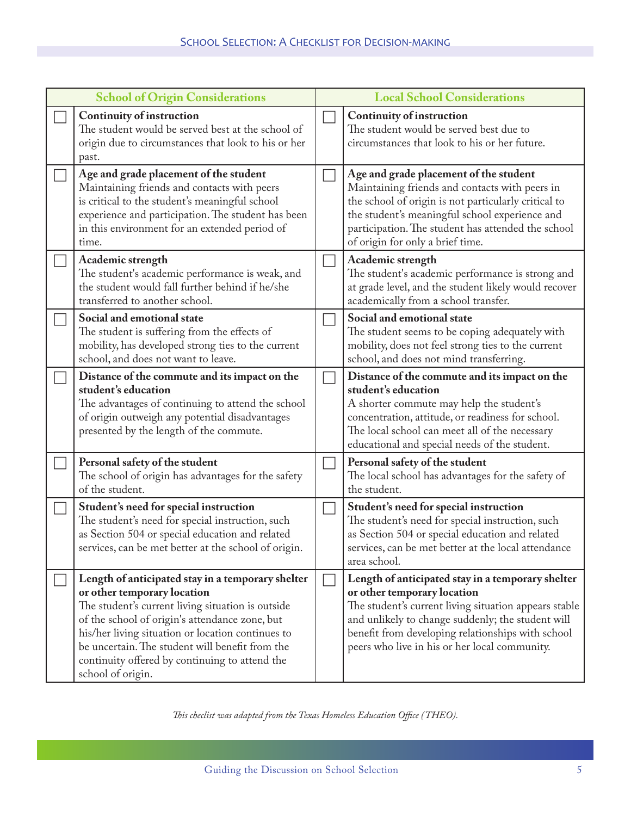| <b>School of Origin Considerations</b> |                                                                                                                                                                                                                                                                                                                                                                        | <b>Local School Considerations</b> |                                                                                                                                                                                                                                                                                                      |
|----------------------------------------|------------------------------------------------------------------------------------------------------------------------------------------------------------------------------------------------------------------------------------------------------------------------------------------------------------------------------------------------------------------------|------------------------------------|------------------------------------------------------------------------------------------------------------------------------------------------------------------------------------------------------------------------------------------------------------------------------------------------------|
|                                        | <b>Continuity of instruction</b><br>The student would be served best at the school of<br>origin due to circumstances that look to his or her<br>past.                                                                                                                                                                                                                  |                                    | <b>Continuity of instruction</b><br>The student would be served best due to<br>circumstances that look to his or her future.                                                                                                                                                                         |
|                                        | Age and grade placement of the student<br>Maintaining friends and contacts with peers<br>is critical to the student's meaningful school<br>experience and participation. The student has been<br>in this environment for an extended period of<br>time.                                                                                                                |                                    | Age and grade placement of the student<br>Maintaining friends and contacts with peers in<br>the school of origin is not particularly critical to<br>the student's meaningful school experience and<br>participation. The student has attended the school<br>of origin for only a brief time.         |
|                                        | Academic strength<br>The student's academic performance is weak, and<br>the student would fall further behind if he/she<br>transferred to another school.                                                                                                                                                                                                              |                                    | Academic strength<br>The student's academic performance is strong and<br>at grade level, and the student likely would recover<br>academically from a school transfer.                                                                                                                                |
|                                        | Social and emotional state<br>The student is suffering from the effects of<br>mobility, has developed strong ties to the current<br>school, and does not want to leave.                                                                                                                                                                                                |                                    | Social and emotional state<br>The student seems to be coping adequately with<br>mobility, does not feel strong ties to the current<br>school, and does not mind transferring.                                                                                                                        |
|                                        | Distance of the commute and its impact on the<br>student's education<br>The advantages of continuing to attend the school<br>of origin outweigh any potential disadvantages<br>presented by the length of the commute.                                                                                                                                                 | $\mathcal{L}$                      | Distance of the commute and its impact on the<br>student's education<br>A shorter commute may help the student's<br>concentration, attitude, or readiness for school.<br>The local school can meet all of the necessary<br>educational and special needs of the student.                             |
|                                        | Personal safety of the student<br>The school of origin has advantages for the safety<br>of the student.                                                                                                                                                                                                                                                                |                                    | Personal safety of the student<br>The local school has advantages for the safety of<br>the student.                                                                                                                                                                                                  |
|                                        | Student's need for special instruction<br>The student's need for special instruction, such<br>as Section 504 or special education and related<br>services, can be met better at the school of origin.                                                                                                                                                                  |                                    | Student's need for special instruction<br>The student's need for special instruction, such<br>as Section 504 or special education and related<br>services, can be met better at the local attendance<br>area school.                                                                                 |
|                                        | Length of anticipated stay in a temporary shelter<br>or other temporary location<br>The student's current living situation is outside<br>of the school of origin's attendance zone, but<br>his/her living situation or location continues to<br>be uncertain. The student will benefit from the<br>continuity offered by continuing to attend the<br>school of origin. | $\overline{\phantom{a}}$           | Length of anticipated stay in a temporary shelter<br>or other temporary location<br>The student's current living situation appears stable<br>and unlikely to change suddenly; the student will<br>benefit from developing relationships with school<br>peers who live in his or her local community. |

*This checlist was adapted from the Texas Homeless Education Office (THEO).*